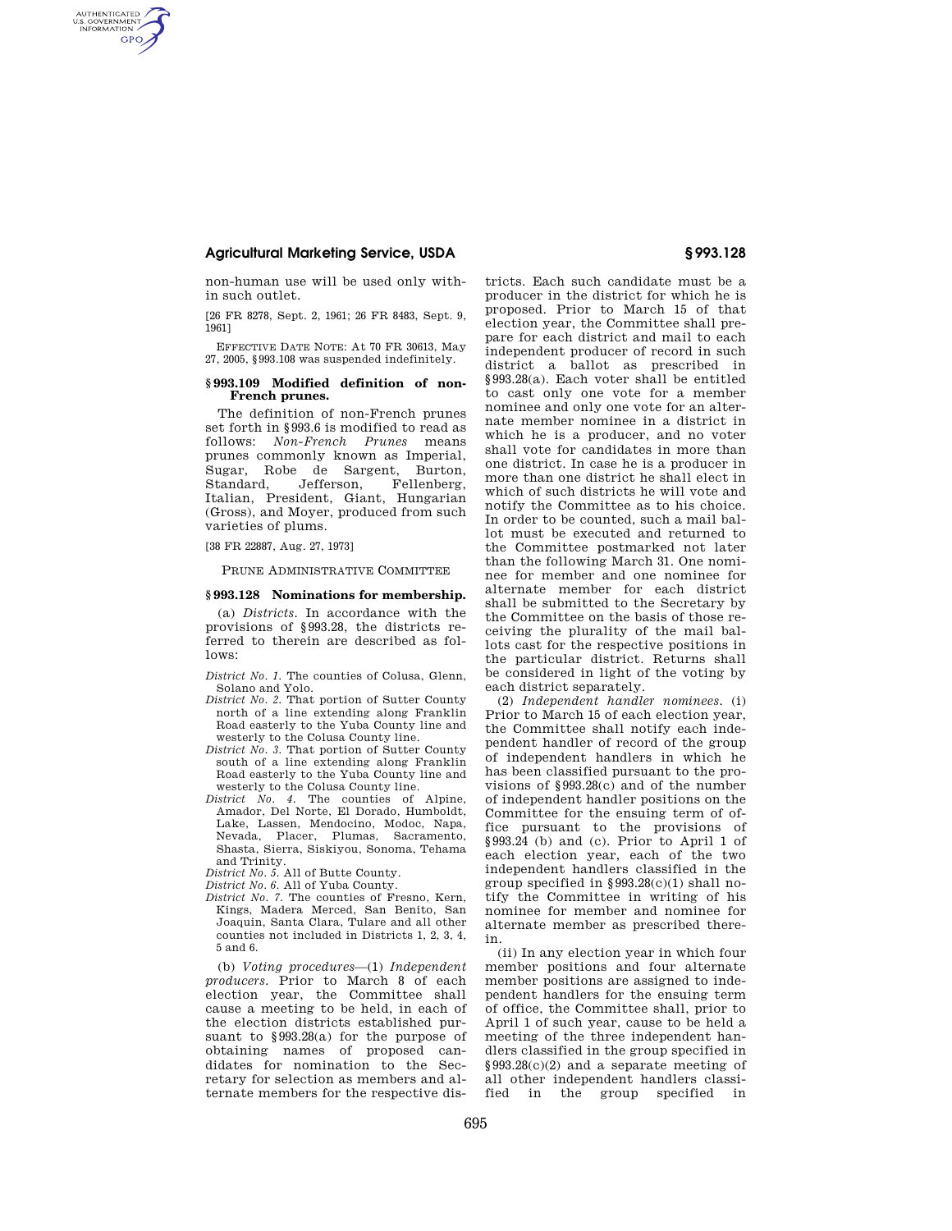## **Agricultural Marketing Service, USDA § 993.128**

AUTHENTICATED<br>U.S. GOVERNMENT<br>INFORMATION **GPO** 

> non-human use will be used only within such outlet.

> [26 FR 8278, Sept. 2, 1961; 26 FR 8483, Sept. 9, 1961]

> EFFECTIVE DATE NOTE: At 70 FR 30613, May 27, 2005, §993.108 was suspended indefinitely.

## **§ 993.109 Modified definition of non-French prunes.**

The definition of non-French prunes set forth in §993.6 is modified to read as follows: *Non-French Prunes* means prunes commonly known as Imperial, Sugar, Robe de Sargent, Burton, Standard, Jefferson, Fellenberg, Italian, President, Giant, Hungarian (Gross), and Moyer, produced from such varieties of plums.

[38 FR 22887, Aug. 27, 1973]

PRUNE ADMINISTRATIVE COMMITTEE

## **§ 993.128 Nominations for membership.**

(a) *Districts.* In accordance with the provisions of §993.28, the districts referred to therein are described as follows:

*District No. 1.* The counties of Colusa, Glenn, Solano and Yolo.

- *District No. 2.* That portion of Sutter County north of a line extending along Franklin Road easterly to the Yuba County line and westerly to the Colusa County line.
- *District No. 3.* That portion of Sutter County south of a line extending along Franklin Road easterly to the Yuba County line and westerly to the Colusa County line.
- *District No. 4.* The counties of Alpine, Amador, Del Norte, El Dorado, Humboldt, Lake, Lassen, Mendocino, Modoc, Napa, Nevada, Placer, Plumas, Sacramento, Shasta, Sierra, Siskiyou, Sonoma, Tehama and Trinity.
- *District No. 5.* All of Butte County.
- *District No. 6.* All of Yuba County.
- *District No. 7.* The counties of Fresno, Kern, Kings, Madera Merced, San Benito, San Joaquin, Santa Clara, Tulare and all other counties not included in Districts 1, 2, 3, 4, 5 and 6.

(b) *Voting procedures*—(1) *Independent producers.* Prior to March 8 of each election year, the Committee shall cause a meeting to be held, in each of the election districts established pursuant to §993.28(a) for the purpose of obtaining names of proposed candidates for nomination to the Secretary for selection as members and alternate members for the respective dis-

tricts. Each such candidate must be a producer in the district for which he is proposed. Prior to March 15 of that election year, the Committee shall prepare for each district and mail to each independent producer of record in such district a ballot as prescribed in §993.28(a). Each voter shall be entitled to cast only one vote for a member nominee and only one vote for an alternate member nominee in a district in which he is a producer, and no voter shall vote for candidates in more than one district. In case he is a producer in more than one district he shall elect in which of such districts he will vote and notify the Committee as to his choice. In order to be counted, such a mail ballot must be executed and returned to the Committee postmarked not later than the following March 31. One nominee for member and one nominee for alternate member for each district shall be submitted to the Secretary by the Committee on the basis of those receiving the plurality of the mail ballots cast for the respective positions in the particular district. Returns shall be considered in light of the voting by each district separately.

(2) *Independent handler nominees.* (i) Prior to March 15 of each election year, the Committee shall notify each independent handler of record of the group of independent handlers in which he has been classified pursuant to the provisions of §993.28(c) and of the number of independent handler positions on the Committee for the ensuing term of office pursuant to the provisions of §993.24 (b) and (c). Prior to April 1 of each election year, each of the two independent handlers classified in the group specified in §993.28(c)(1) shall notify the Committee in writing of his nominee for member and nominee for alternate member as prescribed therein.

(ii) In any election year in which four member positions and four alternate member positions are assigned to independent handlers for the ensuing term of office, the Committee shall, prior to April 1 of such year, cause to be held a meeting of the three independent handlers classified in the group specified in §993.28(c)(2) and a separate meeting of all other independent handlers classified in the group specified in